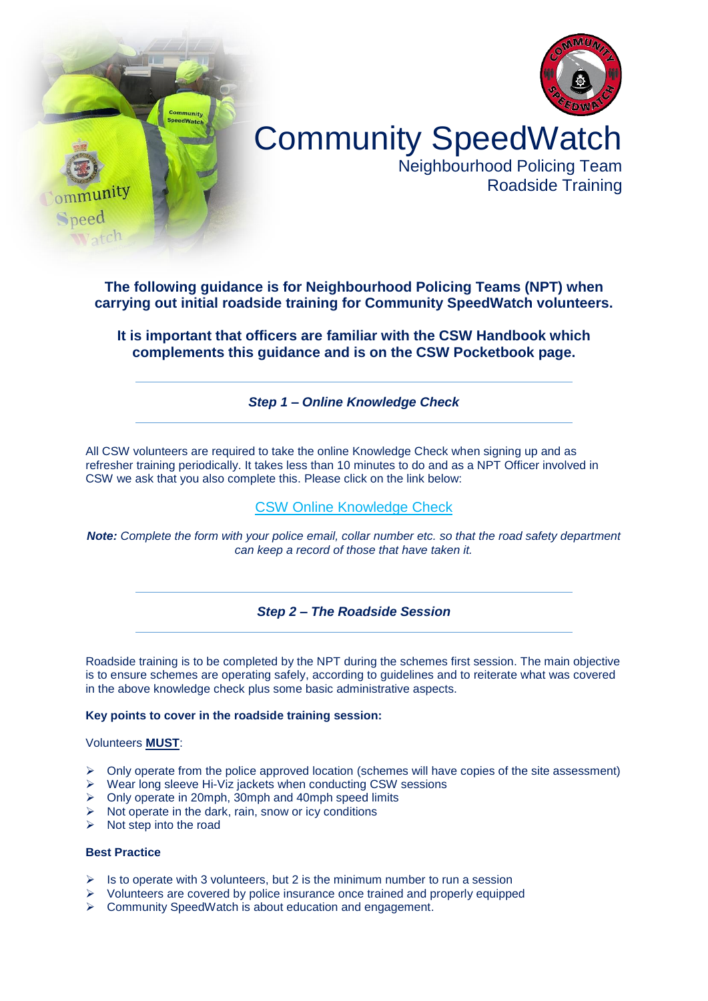



# Community SpeedWatch

Neighbourhood Policing Team Roadside Training

**The following guidance is for Neighbourhood Policing Teams (NPT) when carrying out initial roadside training for Community SpeedWatch volunteers.**

**It is important that officers are familiar with the CSW Handbook which complements this guidance and is on the CSW Pocketbook page.**

# *Step 1 – Online Knowledge Check*

All CSW volunteers are required to take the online Knowledge Check when signing up and as refresher training periodically. It takes less than 10 minutes to do and as a NPT Officer involved in CSW we ask that you also complete this. Please click on the link below:

# [CSW Online Knowledge Check](https://www.avonandsomerset.police.uk/apply/community-speedwatch/refresher-community-speedwatch-knowledge-check/)

*Note: Complete the form with your police email, collar number etc. so that the road safety department can keep a record of those that have taken it.*

# *Step 2 – The Roadside Session*

Roadside training is to be completed by the NPT during the schemes first session. The main objective is to ensure schemes are operating safely, according to guidelines and to reiterate what was covered in the above knowledge check plus some basic administrative aspects.

### **Key points to cover in the roadside training session:**

#### Volunteers **MUST**:

- $\triangleright$  Only operate from the police approved location (schemes will have copies of the site assessment)
- $\triangleright$  Wear long sleeve Hi-Viz jackets when conducting CSW sessions
- Only operate in 20mph, 30mph and 40mph speed limits
- $\triangleright$  Not operate in the dark, rain, snow or icy conditions
- $\triangleright$  Not step into the road

### **Best Practice**

- $\triangleright$  Is to operate with 3 volunteers, but 2 is the minimum number to run a session
- $\triangleright$  Volunteers are covered by police insurance once trained and properly equipped
- ▶ Community SpeedWatch is about education and engagement.